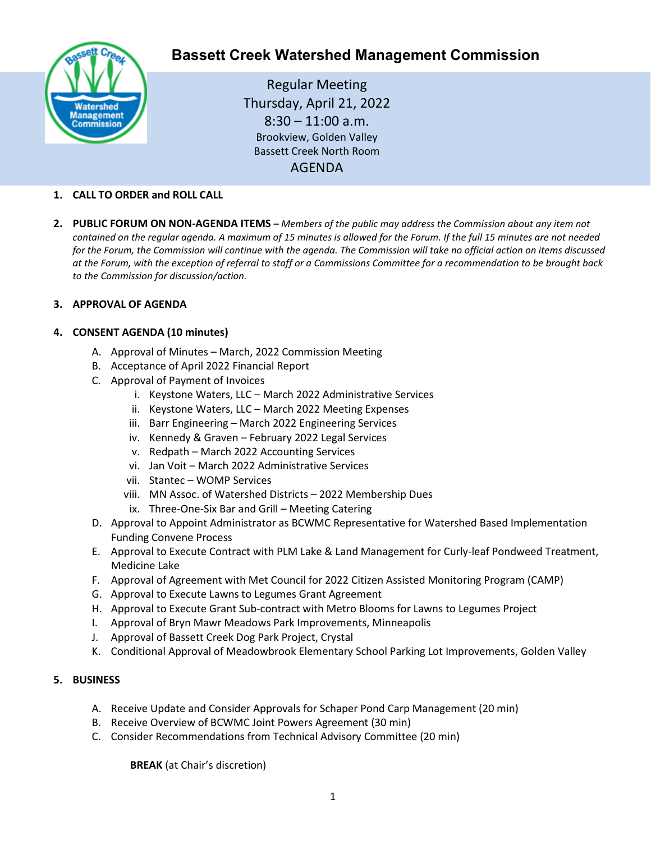

# **Bassett Creek Watershed Management Commission**

Regular Meeting Thursday, April 21, 2022  $8:30 - 11:00$  a.m. Brookview, Golden Valley Bassett Creek North Room AGENDA

# **1. CALL TO ORDER and ROLL CALL**

**2. PUBLIC FORUM ON NON-AGENDA ITEMS –** *Members of the public may address the Commission about any item not contained on the regular agenda. A maximum of 15 minutes is allowed for the Forum. If the full 15 minutes are not needed for the Forum, the Commission will continue with the agenda. The Commission will take no official action on items discussed at the Forum, with the exception of referral to staff or a Commissions Committee for a recommendation to be brought back to the Commission for discussion/action.*

# **3. APPROVAL OF AGENDA**

# **4. CONSENT AGENDA (10 minutes)**

- A. Approval of Minutes March, 2022 Commission Meeting
- B. Acceptance of April 2022 Financial Report
- C. Approval of Payment of Invoices
	- i. Keystone Waters, LLC March 2022 Administrative Services
	- ii. Keystone Waters, LLC March 2022 Meeting Expenses
	- iii. Barr Engineering March 2022 Engineering Services
	- iv. Kennedy & Graven February 2022 Legal Services
	- v. Redpath March 2022 Accounting Services
	- vi. Jan Voit March 2022 Administrative Services
	- vii. Stantec WOMP Services
	- viii. MN Assoc. of Watershed Districts 2022 Membership Dues
		- ix. Three-One-Six Bar and Grill Meeting Catering
- D. Approval to Appoint Administrator as BCWMC Representative for Watershed Based Implementation Funding Convene Process
- E. Approval to Execute Contract with PLM Lake & Land Management for Curly-leaf Pondweed Treatment, Medicine Lake
- F. Approval of Agreement with Met Council for 2022 Citizen Assisted Monitoring Program (CAMP)
- G. Approval to Execute Lawns to Legumes Grant Agreement
- H. Approval to Execute Grant Sub-contract with Metro Blooms for Lawns to Legumes Project
- I. Approval of Bryn Mawr Meadows Park Improvements, Minneapolis
- J. Approval of Bassett Creek Dog Park Project, Crystal
- K. Conditional Approval of Meadowbrook Elementary School Parking Lot Improvements, Golden Valley

# **5. BUSINESS**

- A. Receive Update and Consider Approvals for Schaper Pond Carp Management (20 min)
- B. Receive Overview of BCWMC Joint Powers Agreement (30 min)
- C. Consider Recommendations from Technical Advisory Committee (20 min)

**BREAK** (at Chair's discretion)